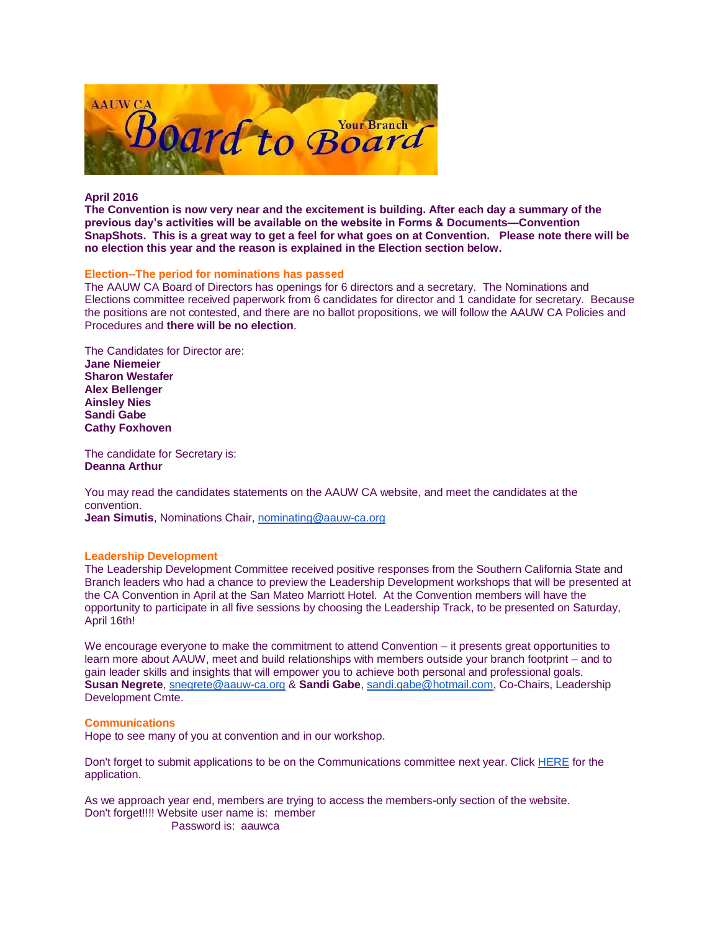

### **April 2016**

**The Convention is now very near and the excitement is building. After each day a summary of the previous day's activities will be available on the website in Forms & Documents—Convention SnapShots. This is a great way to get a feel for what goes on at Convention. Please note there will be no election this year and the reason is explained in the Election section below.**

### **Election--The period for nominations has passed**

The AAUW CA Board of Directors has openings for 6 directors and a secretary. The Nominations and Elections committee received paperwork from 6 candidates for director and 1 candidate for secretary. Because the positions are not contested, and there are no ballot propositions, we will follow the AAUW CA Policies and Procedures and **there will be no election**.

### The Candidates for Director are: **Jane Niemeier Sharon Westafer Alex Bellenger Ainsley Nies Sandi Gabe**

**Cathy Foxhoven** The candidate for Secretary is:

**Deanna Arthur**

You may read the candidates statements on the AAUW CA website, and meet the candidates at the convention.

**Jean Simutis**, Nominations Chair, [nominating@aauw-ca.org](mailto:nominating@aauw-ca.org)

# **Leadership Development**

The Leadership Development Committee received positive responses from the Southern California State and Branch leaders who had a chance to preview the Leadership Development workshops that will be presented at the CA Convention in April at the San Mateo Marriott Hotel. At the Convention members will have the opportunity to participate in all five sessions by choosing the Leadership Track, to be presented on Saturday, April 16th!

We encourage everyone to make the commitment to attend Convention – it presents great opportunities to learn more about AAUW, meet and build relationships with members outside your branch footprint – and to gain leader skills and insights that will empower you to achieve both personal and professional goals. **Susan Negrete**, [snegrete@aauw-ca.org](mailto:snegrete@aauw-ca.org) & **Sandi Gabe**, [sandi.gabe@hotmail.com,](mailto:sandi.gabe@hotmail.com) Co-Chairs, Leadership Development Cmte.

#### **Communications**

Hope to see many of you at convention and in our workshop.

Don't forget to submit applications to be on the Communications committee next year. Click [HERE](http://www.aauw-ca.org/Assets/resources/AAUWCACommitteeVitaForm.doc) for the application.

As we approach year end, members are trying to access the members-only section of the website. Don't forget!!!! Website user name is: member Password is: aauwca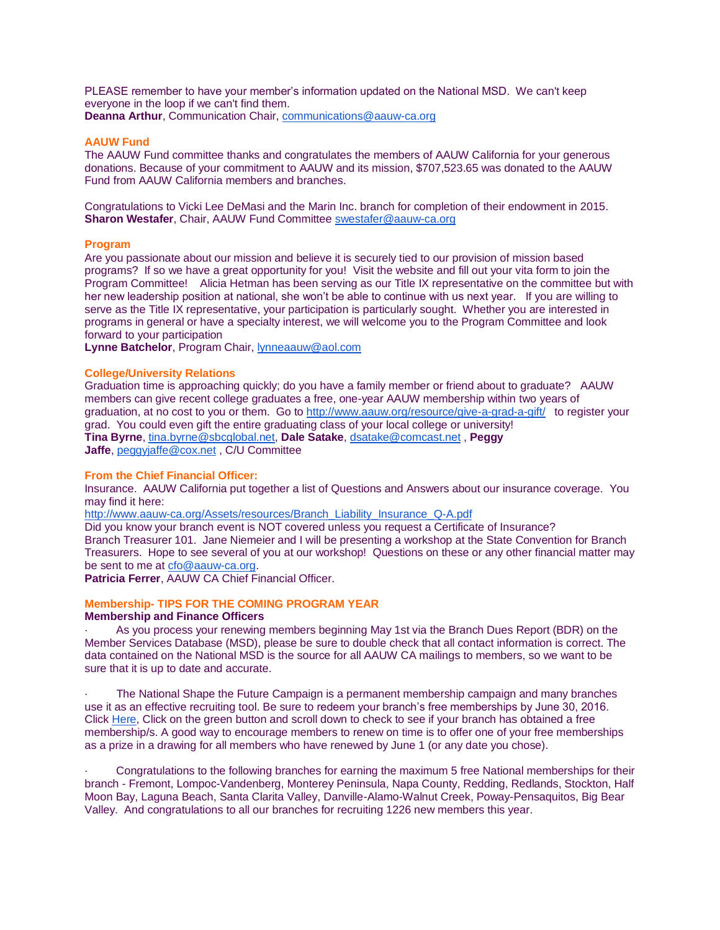PLEASE remember to have your member's information updated on the National MSD. We can't keep everyone in the loop if we can't find them. **Deanna Arthur**, Communication Chair, [communications@aauw-ca.org](mailto:communications@aauw-ca.org)

### **AAUW Fund**

The AAUW Fund committee thanks and congratulates the members of AAUW California for your generous donations. Because of your commitment to AAUW and its mission, \$707,523.65 was donated to the AAUW Fund from AAUW California members and branches.

Congratulations to Vicki Lee DeMasi and the Marin Inc. branch for completion of their endowment in 2015. **Sharon Westafer, Chair, AAUW Fund Committee [swestafer@aauw-ca.org](mailto:swestafer@aauw-ca.org)** 

### **Program**

Are you passionate about our mission and believe it is securely tied to our provision of mission based programs? If so we have a great opportunity for you! Visit the website and fill out your vita form to join the Program Committee! Alicia Hetman has been serving as our Title IX representative on the committee but with her new leadership position at national, she won't be able to continue with us next year. If you are willing to serve as the Title IX representative, your participation is particularly sought. Whether you are interested in programs in general or have a specialty interest, we will welcome you to the Program Committee and look forward to your participation

**Lynne Batchelor**, Program Chair, [lynneaauw@aol.com](mailto:lynneaauw@aol.com)

### **College/University Relations**

Graduation time is approaching quickly; do you have a family member or friend about to graduate? AAUW members can give recent college graduates a free, one-year AAUW membership within two years of graduation, at no cost to you or them. Go to <http://www.aauw.org/resource/give-a-grad-a-gift/> to register your grad. You could even gift the entire graduating class of your local college or university! **Tina Byrne**, [tina.byrne@sbcglobal.net,](mailto:tina.byrne@sbcglobal.net) **Dale Satake**, [dsatake@comcast.net](mailto:dsatake@comcast.net) , **Peggy Jaffe**, [peggyjaffe@cox.net](mailto:peggyjaffe@cox.net) , C/U Committee

### **From the Chief Financial Officer:**

Insurance. AAUW California put together a list of Questions and Answers about our insurance coverage. You may find it here:

[http://www.aauw-ca.org/Assets/resources/Branch\\_Liability\\_Insurance\\_Q-A.pdf](http://www.aauw-ca.org/Assets/resources/Branch_Liability_Insurance_Q-A.pdf)

Did you know your branch event is NOT covered unless you request a Certificate of Insurance? Branch Treasurer 101. Jane Niemeier and I will be presenting a workshop at the State Convention for Branch Treasurers. Hope to see several of you at our workshop! Questions on these or any other financial matter may be sent to me at [cfo@aauw-ca.org.](mailto:cfo@aauw-ca.org)

**Patricia Ferrer**, AAUW CA Chief Financial Officer.

# **Membership- TIPS FOR THE COMING PROGRAM YEAR**

### **Membership and Finance Officers**

As you process your renewing members beginning May 1st via the Branch Dues Report (BDR) on the Member Services Database (MSD), please be sure to double check that all contact information is correct. The data contained on the National MSD is the source for all AAUW CA mailings to members, so we want to be sure that it is up to date and accurate.

· The National Shape the Future Campaign is a permanent membership campaign and many branches use it as an effective recruiting tool. Be sure to redeem your branch's free memberships by June 30, 2016. Click [Here,](http://www.aauw.org/resource/shape-the-future-campaign-form-and-report/) Click on the green button and scroll down to check to see if your branch has obtained a free membership/s. A good way to encourage members to renew on time is to offer one of your free memberships as a prize in a drawing for all members who have renewed by June 1 (or any date you chose).

· Congratulations to the following branches for earning the maximum 5 free National memberships for their branch - Fremont, Lompoc-Vandenberg, Monterey Peninsula, Napa County, Redding, Redlands, Stockton, Half Moon Bay, Laguna Beach, Santa Clarita Valley, Danville-Alamo-Walnut Creek, Poway-Pensaquitos, Big Bear Valley. And congratulations to all our branches for recruiting 1226 new members this year.